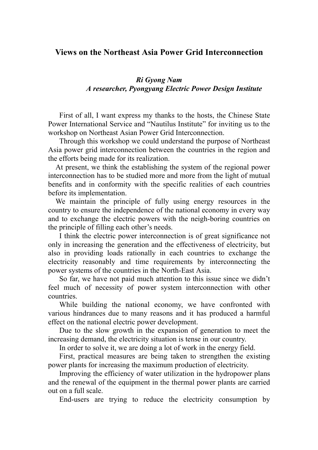## **Views on the Northeast Asia Power Grid Interconnection**

## *Ri Gyong Nam A researcher, Pyongyang Electric Power Design Institute*

 First of all, I want express my thanks to the hosts, the Chinese State Power International Service and "Nautilus Institute" for inviting us to the workshop on Northeast Asian Power Grid Interconnection.

 Through this workshop we could understand the purpose of Northeast Asia power grid interconnection between the countries in the region and the efforts being made for its realization.

 At present, we think the establishing the system of the regional power interconnection has to be studied more and more from the light of mutual benefits and in conformity with the specific realities of each countries before its implementation.

 We maintain the principle of fully using energy resources in the country to ensure the independence of the national economy in every way and to exchange the electric powers with the neigh-boring countries on the principle of filling each other's needs.

 I think the electric power interconnection is of great significance not only in increasing the generation and the effectiveness of electricity, but also in providing loads rationally in each countries to exchange the electricity reasonably and time requirements by interconnecting the power systems of the countries in the North-East Asia.

 So far, we have not paid much attention to this issue since we didn't feel much of necessity of power system interconnection with other countries.

 While building the national economy, we have confronted with various hindrances due to many reasons and it has produced a harmful effect on the national electric power development.

 Due to the slow growth in the expansion of generation to meet the increasing demand, the electricity situation is tense in our country.

In order to solve it, we are doing a lot of work in the energy field.

 First, practical measures are being taken to strengthen the existing power plants for increasing the maximum production of electricity.

 Improving the efficiency of water utilization in the hydropower plans and the renewal of the equipment in the thermal power plants are carried out on a full scale.

End-users are trying to reduce the electricity consumption by